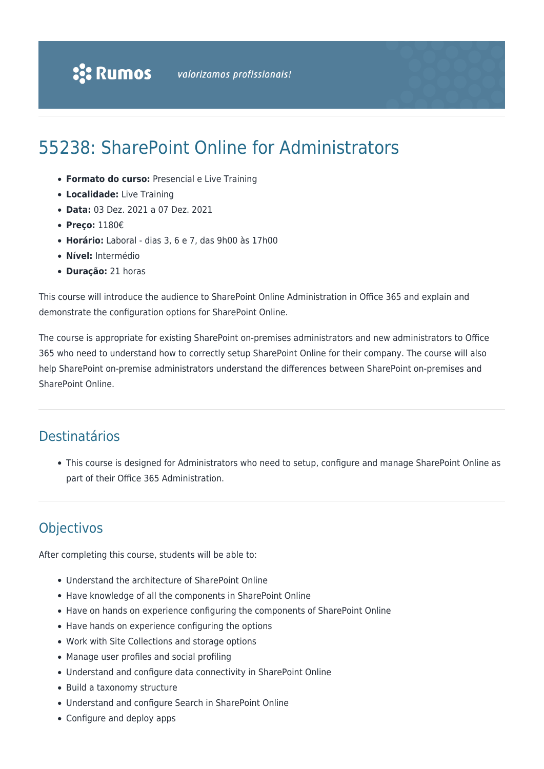# 55238: SharePoint Online for Administrators

- **Formato do curso:** Presencial e Live Training
- **Localidade:** Live Training
- **Data:** 03 Dez. 2021 a 07 Dez. 2021
- **Preço:** 1180€
- **Horário:** Laboral dias 3, 6 e 7, das 9h00 às 17h00
- **Nível:** Intermédio
- **Duração:** 21 horas

This course will introduce the audience to SharePoint Online Administration in Office 365 and explain and demonstrate the configuration options for SharePoint Online.

The course is appropriate for existing SharePoint on-premises administrators and new administrators to Office 365 who need to understand how to correctly setup SharePoint Online for their company. The course will also help SharePoint on-premise administrators understand the differences between SharePoint on-premises and SharePoint Online.

## Destinatários

This course is designed for Administrators who need to setup, configure and manage SharePoint Online as part of their Office 365 Administration.

# **Objectivos**

- Understand the architecture of SharePoint Online
- Have knowledge of all the components in SharePoint Online
- Have on hands on experience configuring the components of SharePoint Online
- Have hands on experience configuring the options
- Work with Site Collections and storage options
- Manage user profiles and social profiling
- Understand and configure data connectivity in SharePoint Online
- Build a taxonomy structure
- Understand and configure Search in SharePoint Online
- Configure and deploy apps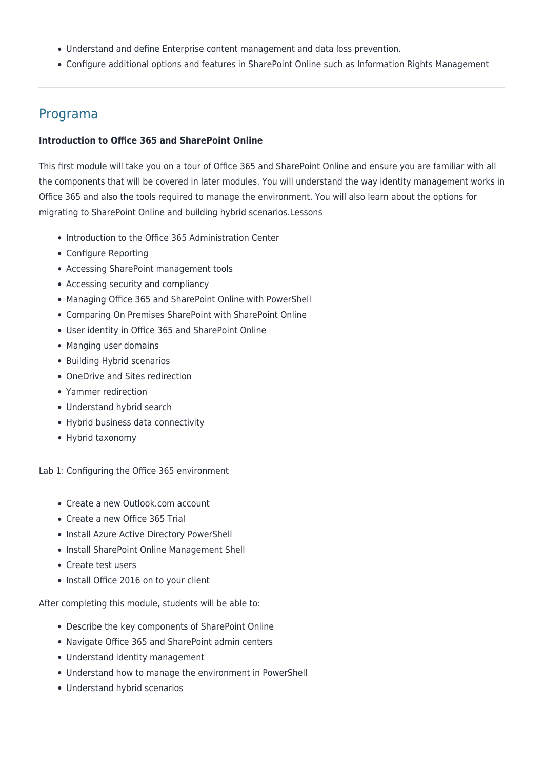- Understand and define Enterprise content management and data loss prevention.
- Configure additional options and features in SharePoint Online such as Information Rights Management

### Programa

#### **Introduction to Office 365 and SharePoint Online**

This first module will take you on a tour of Office 365 and SharePoint Online and ensure you are familiar with all the components that will be covered in later modules. You will understand the way identity management works in Office 365 and also the tools required to manage the environment. You will also learn about the options for migrating to SharePoint Online and building hybrid scenarios.Lessons

- Introduction to the Office 365 Administration Center
- Configure Reporting
- Accessing SharePoint management tools
- Accessing security and compliancy
- Managing Office 365 and SharePoint Online with PowerShell
- Comparing On Premises SharePoint with SharePoint Online
- User identity in Office 365 and SharePoint Online
- Manging user domains
- Building Hybrid scenarios
- OneDrive and Sites redirection
- Yammer redirection
- Understand hybrid search
- Hybrid business data connectivity
- Hybrid taxonomy

Lab 1: Configuring the Office 365 environment

- Create a new Outlook.com account
- Create a new Office 365 Trial
- Install Azure Active Directory PowerShell
- Install SharePoint Online Management Shell
- Create test users
- Install Office 2016 on to your client

- Describe the key components of SharePoint Online
- Navigate Office 365 and SharePoint admin centers
- Understand identity management
- Understand how to manage the environment in PowerShell
- Understand hybrid scenarios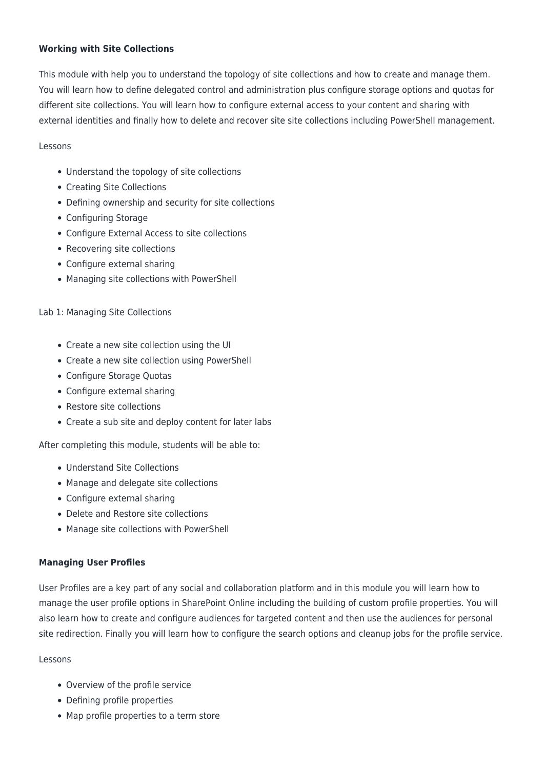#### **Working with Site Collections**

This module with help you to understand the topology of site collections and how to create and manage them. You will learn how to define delegated control and administration plus configure storage options and quotas for different site collections. You will learn how to configure external access to your content and sharing with external identities and finally how to delete and recover site site collections including PowerShell management.

#### Lessons

- Understand the topology of site collections
- Creating Site Collections
- Defining ownership and security for site collections
- Configuring Storage
- Configure External Access to site collections
- Recovering site collections
- Configure external sharing
- Managing site collections with PowerShell

#### Lab 1: Managing Site Collections

- Create a new site collection using the UI
- Create a new site collection using PowerShell
- Configure Storage Quotas
- Configure external sharing
- Restore site collections
- Create a sub site and deploy content for later labs

After completing this module, students will be able to:

- Understand Site Collections
- Manage and delegate site collections
- Configure external sharing
- Delete and Restore site collections
- Manage site collections with PowerShell

#### **Managing User Profiles**

User Profiles are a key part of any social and collaboration platform and in this module you will learn how to manage the user profile options in SharePoint Online including the building of custom profile properties. You will also learn how to create and configure audiences for targeted content and then use the audiences for personal site redirection. Finally you will learn how to configure the search options and cleanup jobs for the profile service.

#### Lessons

- Overview of the profile service
- Defining profile properties
- Map profile properties to a term store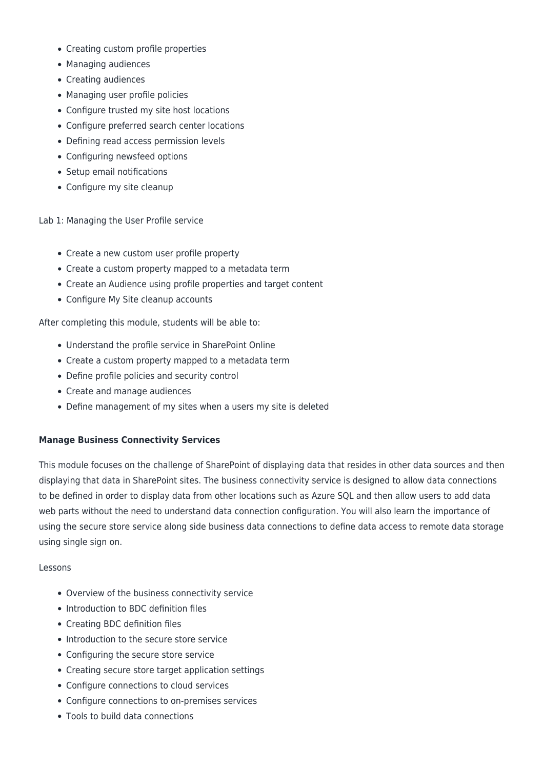- Creating custom profile properties
- Managing audiences
- Creating audiences
- Managing user profile policies
- Configure trusted my site host locations
- Configure preferred search center locations
- Defining read access permission levels
- Configuring newsfeed options
- Setup email notifications
- Configure my site cleanup

Lab 1: Managing the User Profile service

- Create a new custom user profile property
- Create a custom property mapped to a metadata term
- Create an Audience using profile properties and target content
- Configure My Site cleanup accounts

After completing this module, students will be able to:

- Understand the profile service in SharePoint Online
- Create a custom property mapped to a metadata term
- Define profile policies and security control
- Create and manage audiences
- Define management of my sites when a users my site is deleted

#### **Manage Business Connectivity Services**

This module focuses on the challenge of SharePoint of displaying data that resides in other data sources and then displaying that data in SharePoint sites. The business connectivity service is designed to allow data connections to be defined in order to display data from other locations such as Azure SQL and then allow users to add data web parts without the need to understand data connection configuration. You will also learn the importance of using the secure store service along side business data connections to define data access to remote data storage using single sign on.

#### Lessons

- Overview of the business connectivity service
- Introduction to BDC definition files
- Creating BDC definition files
- Introduction to the secure store service
- Configuring the secure store service
- Creating secure store target application settings
- Configure connections to cloud services
- Configure connections to on-premises services
- Tools to build data connections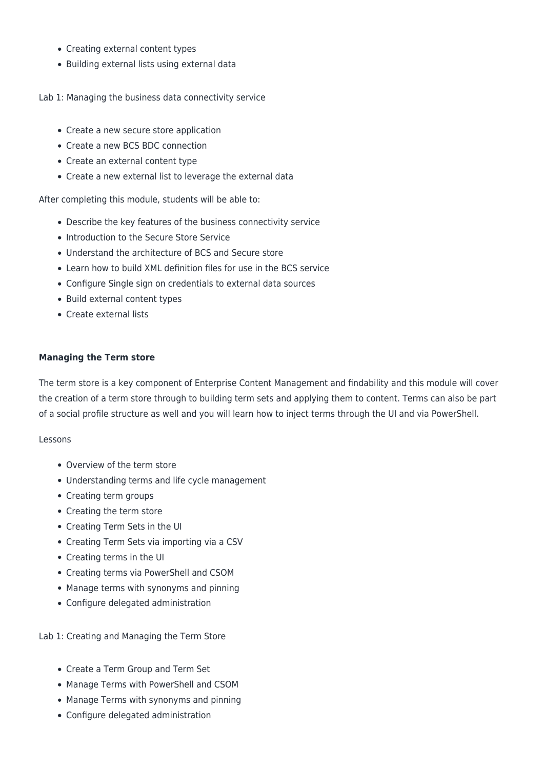- Creating external content types
- Building external lists using external data

Lab 1: Managing the business data connectivity service

- Create a new secure store application
- Create a new BCS BDC connection
- Create an external content type
- Create a new external list to leverage the external data

After completing this module, students will be able to:

- Describe the key features of the business connectivity service
- Introduction to the Secure Store Service
- Understand the architecture of BCS and Secure store
- Learn how to build XML definition files for use in the BCS service
- Configure Single sign on credentials to external data sources
- Build external content types
- Create external lists

#### **Managing the Term store**

The term store is a key component of Enterprise Content Management and findability and this module will cover the creation of a term store through to building term sets and applying them to content. Terms can also be part of a social profile structure as well and you will learn how to inject terms through the UI and via PowerShell.

#### Lessons

- Overview of the term store
- Understanding terms and life cycle management
- Creating term groups
- Creating the term store
- Creating Term Sets in the UI
- Creating Term Sets via importing via a CSV
- Creating terms in the UI
- Creating terms via PowerShell and CSOM
- Manage terms with synonyms and pinning
- Configure delegated administration

Lab 1: Creating and Managing the Term Store

- Create a Term Group and Term Set
- Manage Terms with PowerShell and CSOM
- Manage Terms with synonyms and pinning
- Configure delegated administration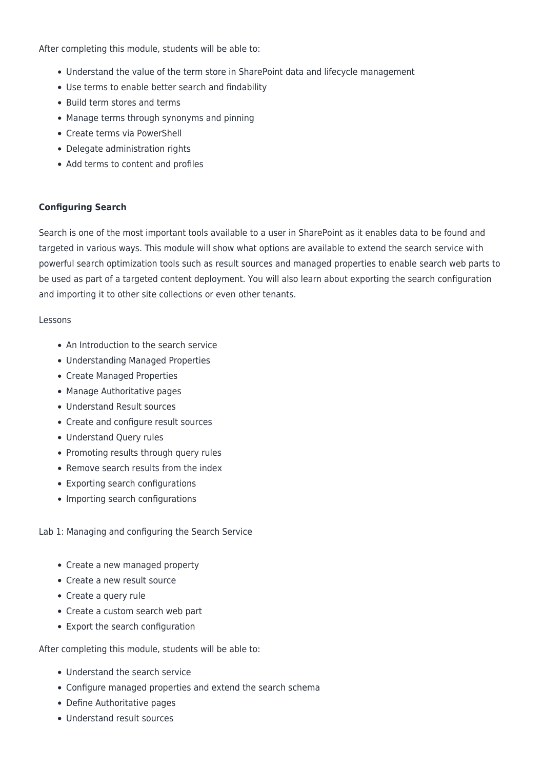After completing this module, students will be able to:

- Understand the value of the term store in SharePoint data and lifecycle management
- Use terms to enable better search and findability
- Build term stores and terms
- Manage terms through synonyms and pinning
- Create terms via PowerShell
- Delegate administration rights
- Add terms to content and profiles

#### **Configuring Search**

Search is one of the most important tools available to a user in SharePoint as it enables data to be found and targeted in various ways. This module will show what options are available to extend the search service with powerful search optimization tools such as result sources and managed properties to enable search web parts to be used as part of a targeted content deployment. You will also learn about exporting the search configuration and importing it to other site collections or even other tenants.

#### Lessons

- An Introduction to the search service
- Understanding Managed Properties
- Create Managed Properties
- Manage Authoritative pages
- Understand Result sources
- Create and configure result sources
- Understand Query rules
- Promoting results through query rules
- Remove search results from the index
- Exporting search configurations
- Importing search configurations

#### Lab 1: Managing and configuring the Search Service

- Create a new managed property
- Create a new result source
- Create a query rule
- Create a custom search web part
- Export the search configuration

- Understand the search service
- Configure managed properties and extend the search schema
- Define Authoritative pages
- Understand result sources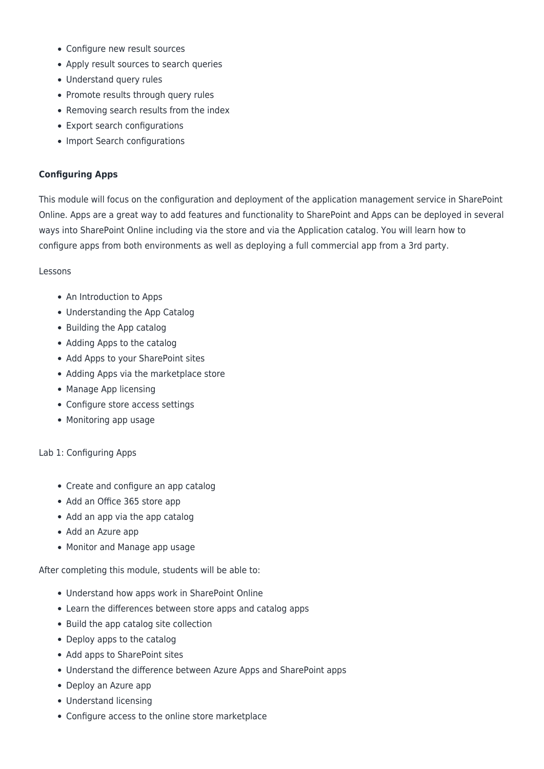- Configure new result sources
- Apply result sources to search queries
- Understand query rules
- Promote results through query rules
- Removing search results from the index
- Export search configurations
- Import Search configurations

#### **Configuring Apps**

This module will focus on the configuration and deployment of the application management service in SharePoint Online. Apps are a great way to add features and functionality to SharePoint and Apps can be deployed in several ways into SharePoint Online including via the store and via the Application catalog. You will learn how to configure apps from both environments as well as deploying a full commercial app from a 3rd party.

#### Lessons

- An Introduction to Apps
- Understanding the App Catalog
- Building the App catalog
- Adding Apps to the catalog
- Add Apps to your SharePoint sites
- Adding Apps via the marketplace store
- Manage App licensing
- Configure store access settings
- Monitoring app usage

Lab 1: Configuring Apps

- Create and configure an app catalog
- Add an Office 365 store app
- Add an app via the app catalog
- Add an Azure app
- Monitor and Manage app usage

- Understand how apps work in SharePoint Online
- Learn the differences between store apps and catalog apps
- Build the app catalog site collection
- Deploy apps to the catalog
- Add apps to SharePoint sites
- Understand the difference between Azure Apps and SharePoint apps
- Deploy an Azure app
- Understand licensing
- Configure access to the online store marketplace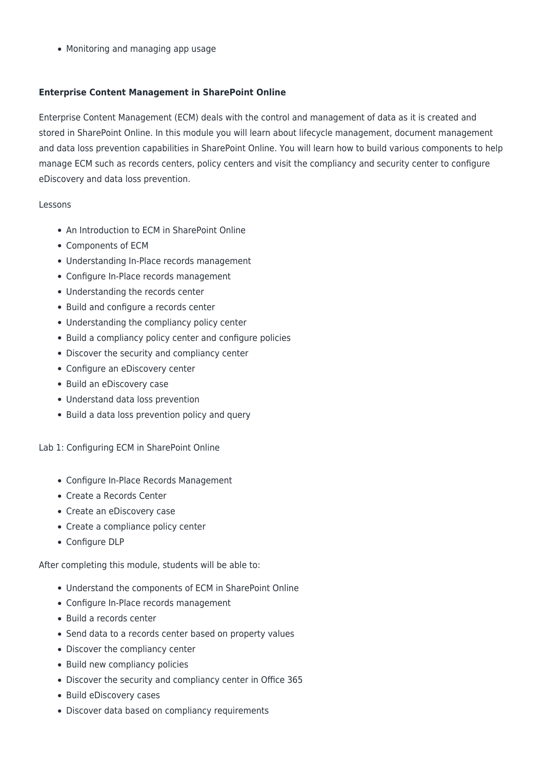• Monitoring and managing app usage

#### **Enterprise Content Management in SharePoint Online**

Enterprise Content Management (ECM) deals with the control and management of data as it is created and stored in SharePoint Online. In this module you will learn about lifecycle management, document management and data loss prevention capabilities in SharePoint Online. You will learn how to build various components to help manage ECM such as records centers, policy centers and visit the compliancy and security center to configure eDiscovery and data loss prevention.

#### Lessons

- An Introduction to ECM in SharePoint Online
- Components of ECM
- Understanding In-Place records management
- Configure In-Place records management
- Understanding the records center
- Build and configure a records center
- Understanding the compliancy policy center
- Build a compliancy policy center and configure policies
- Discover the security and compliancy center
- Configure an eDiscovery center
- Build an eDiscovery case
- Understand data loss prevention
- Build a data loss prevention policy and query

Lab 1: Configuring ECM in SharePoint Online

- Configure In-Place Records Management
- Create a Records Center
- Create an eDiscovery case
- Create a compliance policy center
- Configure DLP

- Understand the components of ECM in SharePoint Online
- Configure In-Place records management
- Build a records center
- Send data to a records center based on property values
- Discover the compliancy center
- Build new compliancy policies
- Discover the security and compliancy center in Office 365
- Build eDiscovery cases
- Discover data based on compliancy requirements